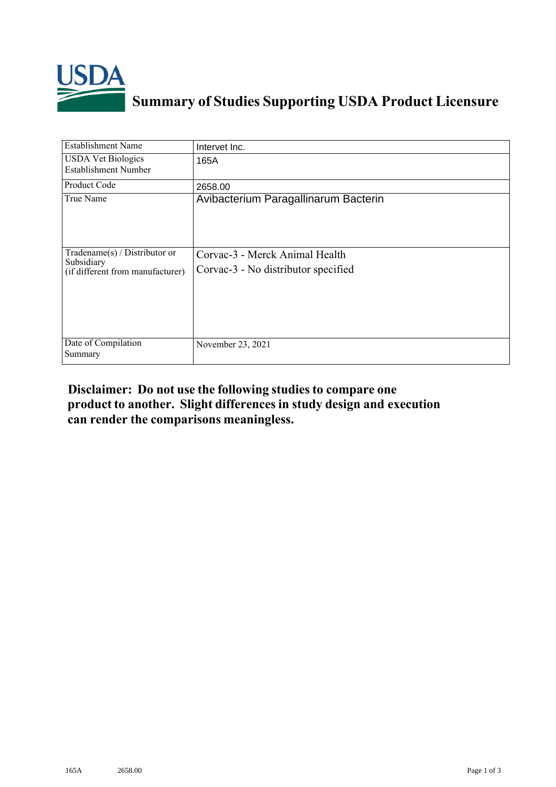

## **Summary of Studies Supporting USDA Product Licensure**

| <b>Establishment Name</b>                                                       | Intervet Inc.                                                         |
|---------------------------------------------------------------------------------|-----------------------------------------------------------------------|
| <b>USDA Vet Biologics</b><br><b>Establishment Number</b>                        | 165A                                                                  |
| <b>Product Code</b>                                                             | 2658.00                                                               |
| True Name                                                                       | Avibacterium Paragallinarum Bacterin                                  |
| Tradename(s) / Distributor or<br>Subsidiary<br>(if different from manufacturer) | Corvac-3 - Merck Animal Health<br>Corvac-3 - No distributor specified |
| Date of Compilation<br>Summary                                                  | November 23, 2021                                                     |

## **Disclaimer: Do not use the following studiesto compare one product to another. Slight differencesin study design and execution can render the comparisons meaningless.**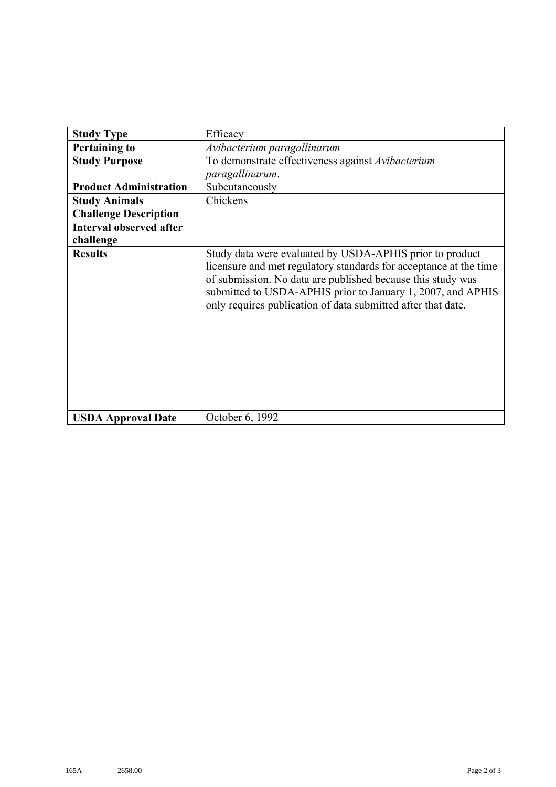| <b>Study Type</b>              | Efficacy                                                                                                                                                                                                                                                                                                                    |
|--------------------------------|-----------------------------------------------------------------------------------------------------------------------------------------------------------------------------------------------------------------------------------------------------------------------------------------------------------------------------|
| <b>Pertaining to</b>           | Avibacterium paragallinarum                                                                                                                                                                                                                                                                                                 |
| <b>Study Purpose</b>           | To demonstrate effectiveness against Avibacterium                                                                                                                                                                                                                                                                           |
|                                | paragallinarum.                                                                                                                                                                                                                                                                                                             |
| <b>Product Administration</b>  | Subcutaneously                                                                                                                                                                                                                                                                                                              |
| <b>Study Animals</b>           | Chickens                                                                                                                                                                                                                                                                                                                    |
| <b>Challenge Description</b>   |                                                                                                                                                                                                                                                                                                                             |
| <b>Interval observed after</b> |                                                                                                                                                                                                                                                                                                                             |
| challenge                      |                                                                                                                                                                                                                                                                                                                             |
| <b>Results</b>                 | Study data were evaluated by USDA-APHIS prior to product<br>licensure and met regulatory standards for acceptance at the time<br>of submission. No data are published because this study was<br>submitted to USDA-APHIS prior to January 1, 2007, and APHIS<br>only requires publication of data submitted after that date. |
| <b>USDA Approval Date</b>      | October 6, 1992                                                                                                                                                                                                                                                                                                             |